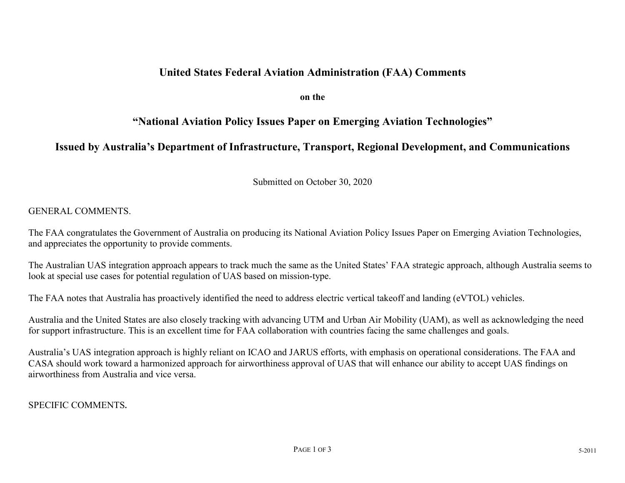### **United States Federal Aviation Administration (FAA) Comments**

**on the** 

# **"National Aviation Policy Issues Paper on Emerging Aviation Technologies"**

## **Issued by Australia's Department of Infrastructure, Transport, Regional Development, and Communications**

Submitted on October 30, 2020

#### GENERAL COMMENTS.

The FAA congratulates the Government of Australia on producing its National Aviation Policy Issues Paper on Emerging Aviation Technologies, and appreciates the opportunity to provide comments.

The Australian UAS integration approach appears to track much the same as the United States' FAA strategic approach, although Australia seems to look at special use cases for potential regulation of UAS based on mission-type.

The FAA notes that Australia has proactively identified the need to address electric vertical takeoff and landing (eVTOL) vehicles.

Australia and the United States are also closely tracking with advancing UTM and Urban Air Mobility (UAM), as well as acknowledging the need for support infrastructure. This is an excellent time for FAA collaboration with countries facing the same challenges and goals.

Australia's UAS integration approach is highly reliant on ICAO and JARUS efforts, with emphasis on operational considerations. The FAA and CASA should work toward a harmonized approach for airworthiness approval of UAS that will enhance our ability to accept UAS findings on airworthiness from Australia and vice versa.

#### SPECIFIC COMMENTS**.**